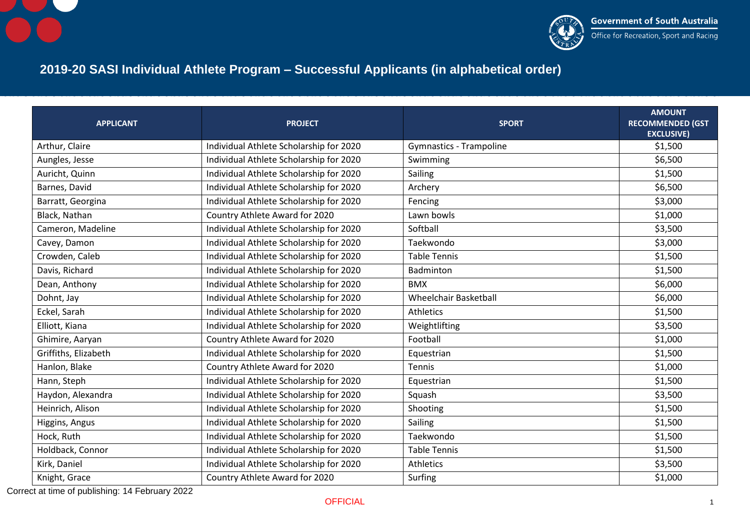



## **2019-20 SASI Individual Athlete Program – Successful Applicants (in alphabetical order)**

| <b>APPLICANT</b>     | <b>PROJECT</b>                          | <b>SPORT</b>                   | <b>AMOUNT</b><br><b>RECOMMENDED (GST</b><br><b>EXCLUSIVE)</b> |
|----------------------|-----------------------------------------|--------------------------------|---------------------------------------------------------------|
| Arthur, Claire       | Individual Athlete Scholarship for 2020 | <b>Gymnastics - Trampoline</b> | \$1,500                                                       |
| Aungles, Jesse       | Individual Athlete Scholarship for 2020 | Swimming                       | \$6,500                                                       |
| Auricht, Quinn       | Individual Athlete Scholarship for 2020 | Sailing                        | \$1,500                                                       |
| Barnes, David        | Individual Athlete Scholarship for 2020 | Archery                        | \$6,500                                                       |
| Barratt, Georgina    | Individual Athlete Scholarship for 2020 | Fencing                        | \$3,000                                                       |
| Black, Nathan        | Country Athlete Award for 2020          | Lawn bowls                     | \$1,000                                                       |
| Cameron, Madeline    | Individual Athlete Scholarship for 2020 | Softball                       | \$3,500                                                       |
| Cavey, Damon         | Individual Athlete Scholarship for 2020 | Taekwondo                      | \$3,000                                                       |
| Crowden, Caleb       | Individual Athlete Scholarship for 2020 | <b>Table Tennis</b>            | \$1,500                                                       |
| Davis, Richard       | Individual Athlete Scholarship for 2020 | Badminton                      | \$1,500                                                       |
| Dean, Anthony        | Individual Athlete Scholarship for 2020 | <b>BMX</b>                     | \$6,000                                                       |
| Dohnt, Jay           | Individual Athlete Scholarship for 2020 | <b>Wheelchair Basketball</b>   | \$6,000                                                       |
| Eckel, Sarah         | Individual Athlete Scholarship for 2020 | Athletics                      | \$1,500                                                       |
| Elliott, Kiana       | Individual Athlete Scholarship for 2020 | Weightlifting                  | \$3,500                                                       |
| Ghimire, Aaryan      | Country Athlete Award for 2020          | Football                       | \$1,000                                                       |
| Griffiths, Elizabeth | Individual Athlete Scholarship for 2020 | Equestrian                     | \$1,500                                                       |
| Hanlon, Blake        | Country Athlete Award for 2020          | Tennis                         | \$1,000                                                       |
| Hann, Steph          | Individual Athlete Scholarship for 2020 | Equestrian                     | \$1,500                                                       |
| Haydon, Alexandra    | Individual Athlete Scholarship for 2020 | Squash                         | \$3,500                                                       |
| Heinrich, Alison     | Individual Athlete Scholarship for 2020 | Shooting                       | \$1,500                                                       |
| Higgins, Angus       | Individual Athlete Scholarship for 2020 | Sailing                        | \$1,500                                                       |
| Hock, Ruth           | Individual Athlete Scholarship for 2020 | Taekwondo                      | \$1,500                                                       |
| Holdback, Connor     | Individual Athlete Scholarship for 2020 | <b>Table Tennis</b>            | \$1,500                                                       |
| Kirk, Daniel         | Individual Athlete Scholarship for 2020 | <b>Athletics</b>               | \$3,500                                                       |
| Knight, Grace        | Country Athlete Award for 2020          | Surfing                        | \$1,000                                                       |

Correct at time of publishing: 14 February 2022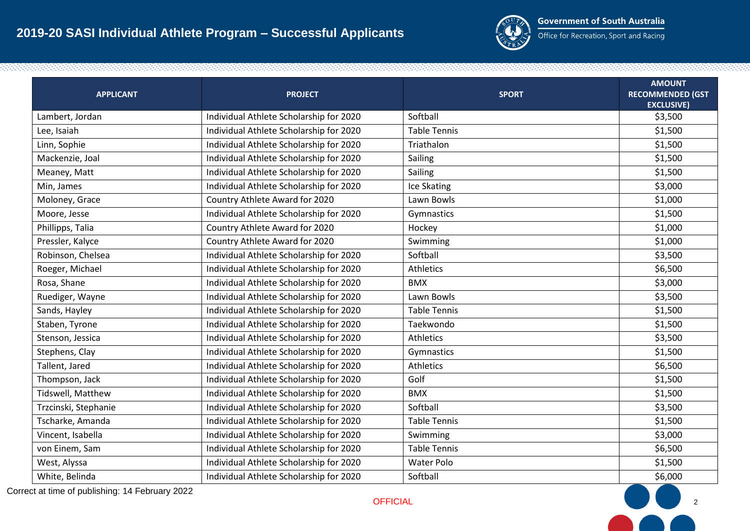

Office for Recreation, Sport and Racing

| <b>APPLICANT</b>     | <b>PROJECT</b>                          | <b>SPORT</b>        | <b>AMOUNT</b><br><b>RECOMMENDED (GST</b><br><b>EXCLUSIVE)</b> |
|----------------------|-----------------------------------------|---------------------|---------------------------------------------------------------|
| Lambert, Jordan      | Individual Athlete Scholarship for 2020 | Softball            | \$3,500                                                       |
| Lee, Isaiah          | Individual Athlete Scholarship for 2020 | <b>Table Tennis</b> | \$1,500                                                       |
| Linn, Sophie         | Individual Athlete Scholarship for 2020 | Triathalon          | \$1,500                                                       |
| Mackenzie, Joal      | Individual Athlete Scholarship for 2020 | Sailing             | \$1,500                                                       |
| Meaney, Matt         | Individual Athlete Scholarship for 2020 | Sailing             | \$1,500                                                       |
| Min, James           | Individual Athlete Scholarship for 2020 | Ice Skating         | \$3,000                                                       |
| Moloney, Grace       | Country Athlete Award for 2020          | Lawn Bowls          | \$1,000                                                       |
| Moore, Jesse         | Individual Athlete Scholarship for 2020 | Gymnastics          | \$1,500                                                       |
| Phillipps, Talia     | Country Athlete Award for 2020          | Hockey              | \$1,000                                                       |
| Pressler, Kalyce     | Country Athlete Award for 2020          | Swimming            | \$1,000                                                       |
| Robinson, Chelsea    | Individual Athlete Scholarship for 2020 | Softball            | \$3,500                                                       |
| Roeger, Michael      | Individual Athlete Scholarship for 2020 | <b>Athletics</b>    | \$6,500                                                       |
| Rosa, Shane          | Individual Athlete Scholarship for 2020 | <b>BMX</b>          | \$3,000                                                       |
| Ruediger, Wayne      | Individual Athlete Scholarship for 2020 | Lawn Bowls          | \$3,500                                                       |
| Sands, Hayley        | Individual Athlete Scholarship for 2020 | <b>Table Tennis</b> | \$1,500                                                       |
| Staben, Tyrone       | Individual Athlete Scholarship for 2020 | Taekwondo           | \$1,500                                                       |
| Stenson, Jessica     | Individual Athlete Scholarship for 2020 | Athletics           | \$3,500                                                       |
| Stephens, Clay       | Individual Athlete Scholarship for 2020 | Gymnastics          | \$1,500                                                       |
| Tallent, Jared       | Individual Athlete Scholarship for 2020 | <b>Athletics</b>    | \$6,500                                                       |
| Thompson, Jack       | Individual Athlete Scholarship for 2020 | Golf                | \$1,500                                                       |
| Tidswell, Matthew    | Individual Athlete Scholarship for 2020 | <b>BMX</b>          | \$1,500                                                       |
| Trzcinski, Stephanie | Individual Athlete Scholarship for 2020 | Softball            | \$3,500                                                       |
| Tscharke, Amanda     | Individual Athlete Scholarship for 2020 | <b>Table Tennis</b> | \$1,500                                                       |
| Vincent, Isabella    | Individual Athlete Scholarship for 2020 | Swimming            | \$3,000                                                       |
| von Einem, Sam       | Individual Athlete Scholarship for 2020 | <b>Table Tennis</b> | \$6,500                                                       |
| West, Alyssa         | Individual Athlete Scholarship for 2020 | Water Polo          | \$1,500                                                       |
| White, Belinda       | Individual Athlete Scholarship for 2020 | Softball            | \$6,000                                                       |

Correct at time of publishing: 14 February 2022